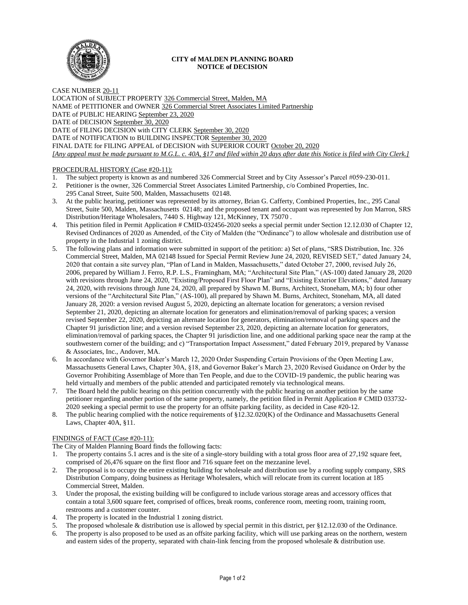

### **CITY of MALDEN PLANNING BOARD NOTICE of DECISION**

CASE NUMBER 20-11 LOCATION of SUBJECT PROPERTY 326 Commercial Street, Malden, MA NAME of PETITIONER and OWNER 326 Commercial Street Associates Limited Partnership DATE of PUBLIC HEARING September 23, 2020 DATE of DECISION September 30, 2020 DATE of FILING DECISION with CITY CLERK September 30, 2020 DATE of NOTIFICATION to BUILDING INSPECTOR September 30, 2020 FINAL DATE for FILING APPEAL of DECISION with SUPERIOR COURT October 20, 2020 *[Any appeal must be made pursuant to M.G.L. c. 40A, §17 and filed within 20 days after date this Notice is filed with City Clerk.]* 

# PROCEDURAL HISTORY (Case #20-11):

- 1. The subject property is known as and numbered 326 Commercial Street and by City Assessor's Parcel #059-230-011.
- 2. Petitioner is the owner, 326 Commercial Street Associates Limited Partnership, c/o Combined Properties, Inc. 295 Canal Street, Suite 500, Malden, Massachusetts 02148.
- 3. At the public hearing, petitioner was represented by its attorney, Brian G. Cafferty, Combined Properties, Inc., 295 Canal Street, Suite 500, Malden, Massachusetts 02148; and the proposed tenant and occupant was represented by Jon Marron, SRS Distribution/Heritage Wholesalers, 7440 S. Highway 121, McKinney, TX 75070 .
- 4. This petition filed in Permit Application # CMID-032456-2020 seeks a special permit under Section 12.12.030 of Chapter 12, Revised Ordinances of 2020 as Amended, of the City of Malden (the "Ordinance") to allow wholesale and distribution use of property in the Industrial 1 zoning district.
- 5. The following plans and information were submitted in support of the petition: a) Set of plans, "SRS Distribution, Inc. 326 Commercial Street, Malden, MA 02148 Issued for Special Permit Review June 24, 2020, REVISED SET," dated January 24, 2020 that contain a site survey plan, "Plan of Land in Malden, Massachusetts," dated October 27, 2000, revised July 26, 2006, prepared by William J. Ferro, R.P. L.S., Framingham, MA; "Architectural Site Plan," (AS-100) dated January 28, 2020 with revisions through June 24, 2020, "Existing/Proposed First Floor Plan" and "Existing Exterior Elevations," dated January 24, 2020, with revisions through June 24, 2020, all prepared by Shawn M. Burns, Architect, Stoneham, MA; b) four other versions of the "Architectural Site Plan," (AS-100), all prepared by Shawn M. Burns, Architect, Stoneham, MA, all dated January 28, 2020: a version revised August 5, 2020, depicting an alternate location for generators; a version revised September 21, 2020, depicting an alternate location for generators and elimination/removal of parking spaces; a version revised September 22, 2020, depicting an alternate location for generators, elimination/removal of parking spaces and the Chapter 91 jurisdiction line; and a version revised September 23, 2020, depicting an alternate location for generators, elimination/removal of parking spaces, the Chapter 91 jurisdiction line, and one additional parking space near the ramp at the southwestern corner of the building; and c) "Transportation Impact Assessment," dated February 2019, prepared by Vanasse & Associates, Inc., Andover, MA.
- 6. In accordance with Governor Baker's March 12, 2020 Order Suspending Certain Provisions of the Open Meeting Law, Massachusetts General Laws, Chapter 30A, §18, and Governor Baker's March 23, 2020 Revised Guidance on Order by the Governor Prohibiting Assemblage of More than Ten People, and due to the COVID-19 pandemic, the public hearing was held virtually and members of the public attended and participated remotely via technological means.
- 7. The Board held the public hearing on this petition concurrently with the public hearing on another petition by the same petitioner regarding another portion of the same property, namely, the petition filed in Permit Application # CMID 033732- 2020 seeking a special permit to use the property for an offsite parking facility, as decided in Case #20-12.
- 8. The public hearing complied with the notice requirements of §12.32.020(K) of the Ordinance and Massachusetts General Laws, Chapter 40A, §11.

# FINDINGS of FACT (Case #20-11):

The City of Malden Planning Board finds the following facts:

- 1. The property contains 5.1 acres and is the site of a single-story building with a total gross floor area of 27,192 square feet, comprised of 26,476 square on the first floor and 716 square feet on the mezzanine level.
- 2. The proposal is to occupy the entire existing building for wholesale and distribution use by a roofing supply company, SRS Distribution Company, doing business as Heritage Wholesalers, which will relocate from its current location at 185 Commercial Street, Malden.
- 3. Under the proposal, the existing building will be configured to include various storage areas and accessory offices that contain a total 3,600 square feet, comprised of offices, break rooms, conference room, meeting room, training room, restrooms and a customer counter.
- 4. The property is located in the Industrial 1 zoning district.
- 5. The proposed wholesale & distribution use is allowed by special permit in this district, per §12.12.030 of the Ordinance.
- 6. The property is also proposed to be used as an offsite parking facility, which will use parking areas on the northern, western and eastern sides of the property, separated with chain-link fencing from the proposed wholesale & distribution use.